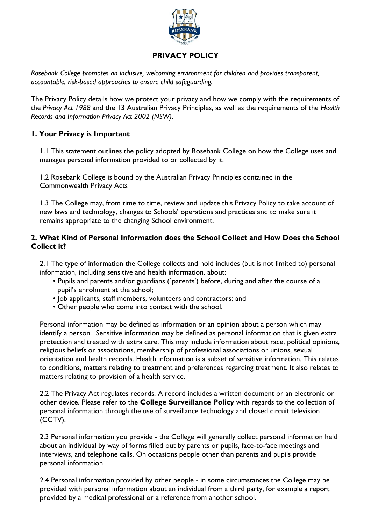

# **PRIVACY POLICY**

*Rosebank College promotes an inclusive, welcoming environment for children and provides transparent, accountable, risk-based approaches to ensure child safeguarding.*

The Privacy Policy details how we protect your privacy and how we comply with the requirements of the *Privacy Act 1988* and the 13 Australian Privacy Principles, as well as the requirements of the *Health Records and Information Privacy Act 2002 (NSW)*.

## **1. Your Privacy is Important**

1.1 This statement outlines the policy adopted by Rosebank College on how the College uses and manages personal information provided to or collected by it.

1.2 Rosebank College is bound by the Australian Privacy Principles contained in the Commonwealth Privacy Acts

1.3 The College may, from time to time, review and update this Privacy Policy to take account of new laws and technology, changes to Schools' operations and practices and to make sure it remains appropriate to the changing School environment.

### **2. What Kind of Personal Information does the School Collect and How Does the School Collect it?**

2.1 The type of information the College collects and hold includes (but is not limited to) personal information, including sensitive and health information, about:

- Pupils and parents and/or guardians (`parents') before, during and after the course of a pupil's enrolment at the school;
- Job applicants, staff members, volunteers and contractors; and
- Other people who come into contact with the school.

Personal information may be defined as information or an opinion about a person which may identify a person. Sensitive information may be defined as personal information that is given extra protection and treated with extra care. This may include information about race, political opinions, religious beliefs or associations, membership of professional associations or unions, sexual orientation and health records. Health information is a subset of sensitive information. This relates to conditions, matters relating to treatment and preferences regarding treatment. It also relates to matters relating to provision of a health service.

2.2 The Privacy Act regulates records. A record includes a written document or an electronic or other device. Please refer to the **College Surveillance Policy** with regards to the collection of personal information through the use of surveillance technology and closed circuit television (CCTV).

2.3 Personal information you provide - the College will generally collect personal information held about an individual by way of forms filled out by parents or pupils, face-to-face meetings and interviews, and telephone calls. On occasions people other than parents and pupils provide personal information.

2.4 Personal information provided by other people - in some circumstances the College may be provided with personal information about an individual from a third party, for example a report provided by a medical professional or a reference from another school.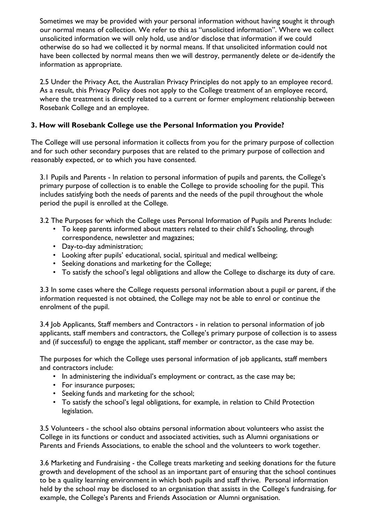Sometimes we may be provided with your personal information without having sought it through our normal means of collection. We refer to this as "unsolicited information". Where we collect unsolicited information we will only hold, use and/or disclose that information if we could otherwise do so had we collected it by normal means. If that unsolicited information could not have been collected by normal means then we will destroy, permanently delete or de-identify the information as appropriate.

2.5 Under the Privacy Act, the Australian Privacy Principles do not apply to an employee record. As a result, this Privacy Policy does not apply to the College treatment of an employee record, where the treatment is directly related to a current or former employment relationship between Rosebank College and an employee.

## **3. How will Rosebank College use the Personal Information you Provide?**

The College will use personal information it collects from you for the primary purpose of collection and for such other secondary purposes that are related to the primary purpose of collection and reasonably expected, or to which you have consented.

3.1 Pupils and Parents - In relation to personal information of pupils and parents, the College's primary purpose of collection is to enable the College to provide schooling for the pupil. This includes satisfying both the needs of parents and the needs of the pupil throughout the whole period the pupil is enrolled at the College.

3.2 The Purposes for which the College uses Personal Information of Pupils and Parents Include:

- To keep parents informed about matters related to their child's Schooling, through correspondence, newsletter and magazines;
- Day-to-day administration;
- Looking after pupils' educational, social, spiritual and medical wellbeing;
- Seeking donations and marketing for the College;
- To satisfy the school's legal obligations and allow the College to discharge its duty of care.

3.3 In some cases where the College requests personal information about a pupil or parent, if the information requested is not obtained, the College may not be able to enrol or continue the enrolment of the pupil.

3.4 Job Applicants, Staff members and Contractors - in relation to personal information of job applicants, staff members and contractors, the College's primary purpose of collection is to assess and (if successful) to engage the applicant, staff member or contractor, as the case may be.

The purposes for which the College uses personal information of job applicants, staff members and contractors include:

- In administering the individual's employment or contract, as the case may be;
- For insurance purposes;
- Seeking funds and marketing for the school;
- To satisfy the school's legal obligations, for example, in relation to Child Protection legislation.

3.5 Volunteers - the school also obtains personal information about volunteers who assist the College in its functions or conduct and associated activities, such as Alumni organisations or Parents and Friends Associations, to enable the school and the volunteers to work together.

3.6 Marketing and Fundraising - the College treats marketing and seeking donations for the future growth and development of the school as an important part of ensuring that the school continues to be a quality learning environment in which both pupils and staff thrive. Personal information held by the school may be disclosed to an organisation that assists in the College's fundraising, for example, the College's Parents and Friends Association or Alumni organisation.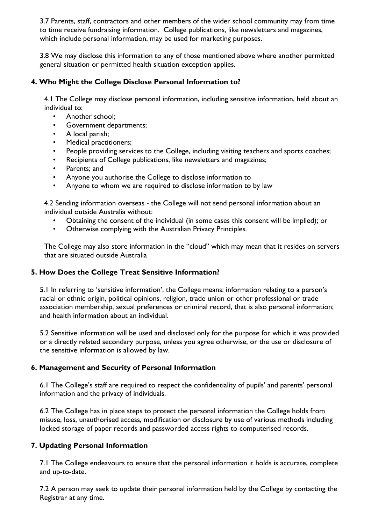3.7 Parents, staff, contractors and other members of the wider school community may from time to time receive fundraising information. College publications, like newsletters and magazines, which include personal information, may be used for marketing purposes.

3.8 We may disclose this information to any of those mentioned above where another permitted general situation or permitted health situation exception applies.

## **4. Who Might the College Disclose Personal Information to?**

4.1 The College may disclose personal information, including sensitive information, held about an individual to:

- Another school:
- Government departments;
- A local parish;
- Medical practitioners;
- People providing services to the College, including visiting teachers and sports coaches;
- Recipients of College publications, like newsletters and magazines;
- Parents; and
- Anyone you authorise the College to disclose information to
- Anyone to whom we are required to disclose information to by law

4.2 Sending information overseas - the College will not send personal information about an individual outside Australia without:

- Obtaining the consent of the individual (in some cases this consent will be implied); or
- Otherwise complying with the Australian Privacy Principles.

The College may also store information in the "cloud" which may mean that it resides on servers that are situated outside Australia

#### **5. How Does the College Treat Sensitive Information?**

5.1 In referring to 'sensitive information', the College means: information relating to a person's racial or ethnic origin, political opinions, religion, trade union or other professional or trade association membership, sexual preferences or criminal record, that is also personal information; and health information about an individual.

5.2 Sensitive information will be used and disclosed only for the purpose for which it was provided or a directly related secondary purpose, unless you agree otherwise, or the use or disclosure of the sensitive information is allowed by law.

#### **6. Management and Security of Personal Information**

6.1 The College's staff are required to respect the confidentiality of pupils' and parents' personal information and the privacy of individuals.

6.2 The College has in place steps to protect the personal information the College holds from misuse, loss, unauthorised access, modification or disclosure by use of various methods including locked storage of paper records and passworded access rights to computerised records.

#### **7. Updating Personal Information**

7.1 The College endeavours to ensure that the personal information it holds is accurate, complete and up-to-date.

7.2 A person may seek to update their personal information held by the College by contacting the Registrar at any time.